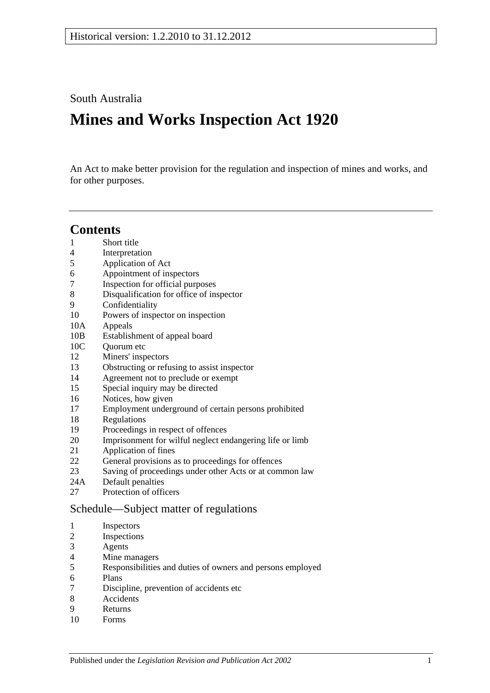South Australia

# **Mines and Works Inspection Act 1920**

An Act to make better provision for the regulation and inspection of mines and works, and for other purposes.

## **Contents**

- [Short title](#page-1-0)
- [Interpretation](#page-1-1)
- [Application of Act](#page-3-0)
- [Appointment of inspectors](#page-3-1)
- [Inspection for official purposes](#page-3-2)
- [Disqualification for office of inspector](#page-3-3)
- [Confidentiality](#page-4-0)
- [Powers of inspector on inspection](#page-4-1)
- 10A [Appeals](#page-6-0)
- 10B [Establishment of appeal board](#page-6-1)
- 10C Ouorum etc
- [Miners' inspectors](#page-7-1)
- Obstructing [or refusing to assist inspector](#page-7-2)
- [Agreement not to preclude or exempt](#page-8-0)
- [Special inquiry may be directed](#page-8-1)
- [Notices, how given](#page-8-2)
- [Employment underground of certain persons prohibited](#page-8-3)
- [Regulations](#page-8-4)
- [Proceedings in respect of offences](#page-9-0)
- [Imprisonment for wilful neglect endangering life or limb](#page-9-1)
- [Application of fines](#page-9-2)
- [General provisions as to proceedings for offences](#page-10-0)
- [Saving of proceedings under other Acts or at common law](#page-10-1)
- 24A [Default penalties](#page-10-2)
- [Protection of officers](#page-11-0)

## [Schedule—Subject matter of regulations](#page-11-1)

- [Inspectors](#page-11-2)
- [Inspections](#page-11-3)
- [Agents](#page-11-4)
- [Mine managers](#page-11-5)
- Responsibilities [and duties of owners and persons employed](#page-11-6)
- [Plans](#page-11-7)
- [Discipline, prevention of accidents etc](#page-12-0)
- [Accidents](#page-12-1)
- [Returns](#page-12-2)
- [Forms](#page-12-3)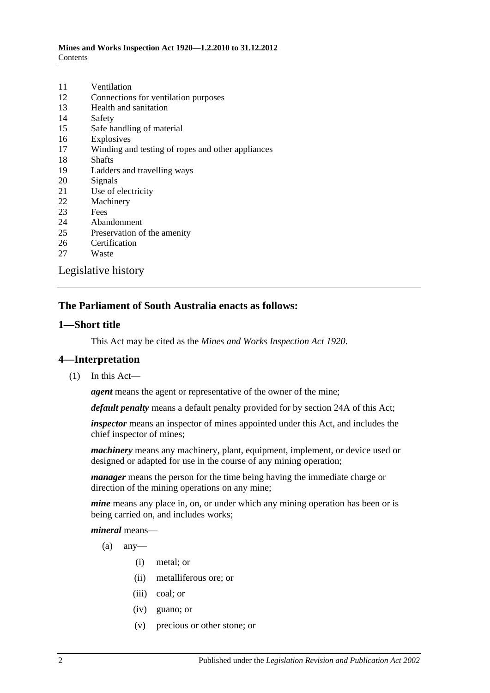| 11 | Ventilation                                       |
|----|---------------------------------------------------|
| 12 | Connections for ventilation purposes              |
| 13 | Health and sanitation                             |
| 14 | Safety                                            |
| 15 | Safe handling of material                         |
| 16 | Explosives                                        |
| 17 | Winding and testing of ropes and other appliances |
| 18 | <b>Shafts</b>                                     |
| 19 | Ladders and travelling ways                       |
| 20 | Signals                                           |
| 21 | Use of electricity                                |
| 22 | Machinery                                         |
| 23 | Fees                                              |
| 24 | Abandonment                                       |
| 25 | Preservation of the amenity                       |
| 26 | Certification                                     |
| 27 | Waste                                             |
|    | Legislative history                               |

## **The Parliament of South Australia enacts as follows:**

#### <span id="page-1-0"></span>**1—Short title**

This Act may be cited as the *Mines and Works Inspection Act 1920*.

#### <span id="page-1-1"></span>**4—Interpretation**

(1) In this Act—

*agent* means the agent or representative of the owner of the mine;

*default penalty* means a default penalty provided for by [section](#page-10-2) 24A of this Act;

*inspector* means an inspector of mines appointed under this Act, and includes the chief inspector of mines;

*machinery* means any machinery, plant, equipment, implement, or device used or designed or adapted for use in the course of any mining operation;

*manager* means the person for the time being having the immediate charge or direction of the mining operations on any mine;

*mine* means any place in, on, or under which any mining operation has been or is being carried on, and includes works;

#### *mineral* means—

- $(a)$  any-
	- (i) metal; or
	- (ii) metalliferous ore; or
	- (iii) coal; or
	- (iv) guano; or
	- (v) precious or other stone; or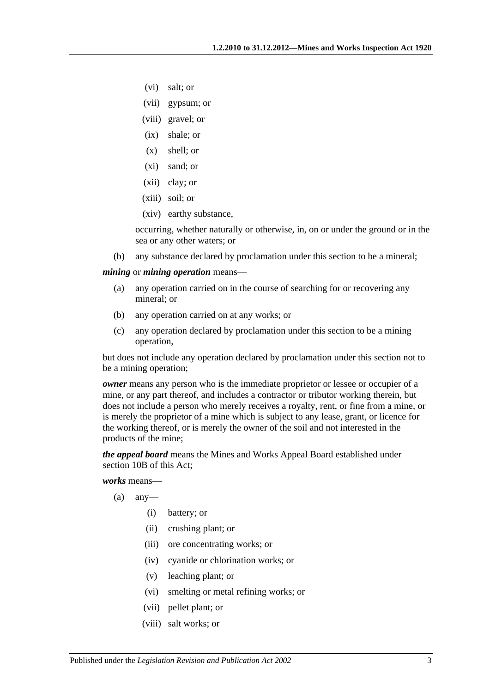- (vi) salt; or
- (vii) gypsum; or
- (viii) gravel; or
- (ix) shale; or
- (x) shell; or
- (xi) sand; or
- (xii) clay; or
- (xiii) soil; or
- (xiv) earthy substance,

occurring, whether naturally or otherwise, in, on or under the ground or in the sea or any other waters; or

(b) any substance declared by proclamation under this section to be a mineral;

<span id="page-2-0"></span>*mining* or *mining operation* means—

- (a) any operation carried on in the course of searching for or recovering any mineral; or
- (b) any operation carried on at any works; or
- (c) any operation declared by proclamation under this section to be a mining operation,

but does not include any operation declared by proclamation under this section not to be a mining operation;

*owner* means any person who is the immediate proprietor or lessee or occupier of a mine, or any part thereof, and includes a contractor or tributor working therein, but does not include a person who merely receives a royalty, rent, or fine from a mine, or is merely the proprietor of a mine which is subject to any lease, grant, or licence for the working thereof, or is merely the owner of the soil and not interested in the products of the mine;

*the appeal board* means the Mines and Works Appeal Board established under [section](#page-6-1) 10B of this Act;

*works* means—

- $(a)$  any-
	- (i) battery; or
	- (ii) crushing plant; or
	- (iii) ore concentrating works; or
	- (iv) cyanide or chlorination works; or
	- (v) leaching plant; or
	- (vi) smelting or metal refining works; or
	- (vii) pellet plant; or
	- (viii) salt works; or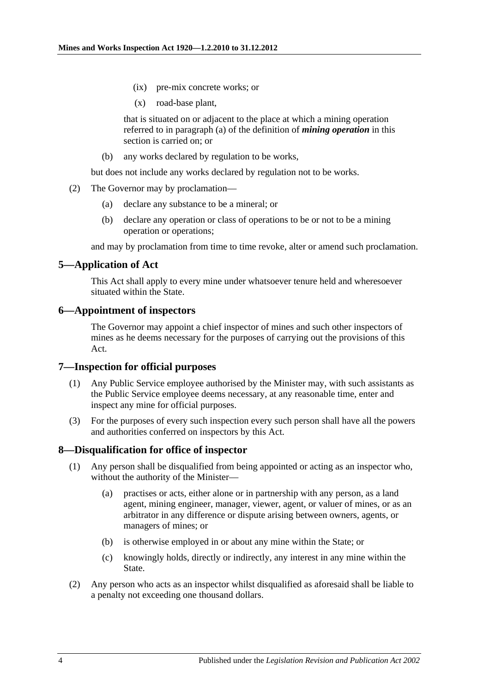- (ix) pre-mix concrete works; or
- (x) road-base plant,

that is situated on or adjacent to the place at which a mining operation referred to in [paragraph](#page-2-0) (a) of the definition of *mining operation* in this section is carried on; or

(b) any works declared by regulation to be works,

but does not include any works declared by regulation not to be works.

- (2) The Governor may by proclamation—
	- (a) declare any substance to be a mineral; or
	- (b) declare any operation or class of operations to be or not to be a mining operation or operations;

and may by proclamation from time to time revoke, alter or amend such proclamation.

## <span id="page-3-0"></span>**5—Application of Act**

This Act shall apply to every mine under whatsoever tenure held and wheresoever situated within the State.

### <span id="page-3-1"></span>**6—Appointment of inspectors**

The Governor may appoint a chief inspector of mines and such other inspectors of mines as he deems necessary for the purposes of carrying out the provisions of this Act.

#### <span id="page-3-2"></span>**7—Inspection for official purposes**

- (1) Any Public Service employee authorised by the Minister may, with such assistants as the Public Service employee deems necessary, at any reasonable time, enter and inspect any mine for official purposes.
- (3) For the purposes of every such inspection every such person shall have all the powers and authorities conferred on inspectors by this Act.

## <span id="page-3-3"></span>**8—Disqualification for office of inspector**

- (1) Any person shall be disqualified from being appointed or acting as an inspector who, without the authority of the Minister—
	- (a) practises or acts, either alone or in partnership with any person, as a land agent, mining engineer, manager, viewer, agent, or valuer of mines, or as an arbitrator in any difference or dispute arising between owners, agents, or managers of mines; or
	- (b) is otherwise employed in or about any mine within the State; or
	- (c) knowingly holds, directly or indirectly, any interest in any mine within the State.
- (2) Any person who acts as an inspector whilst disqualified as aforesaid shall be liable to a penalty not exceeding one thousand dollars.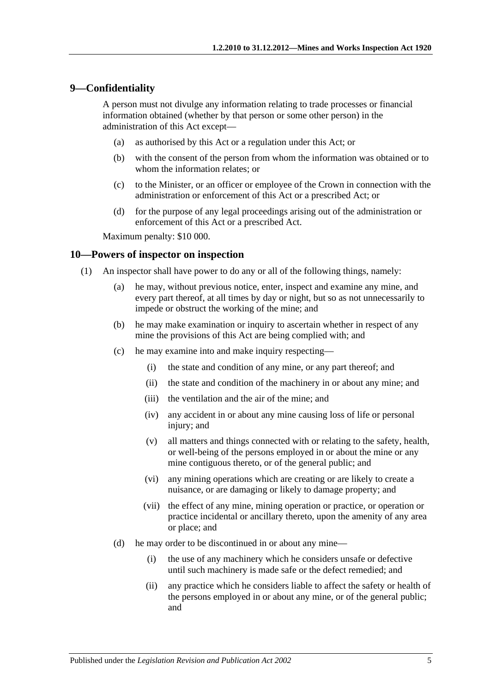#### <span id="page-4-0"></span>**9—Confidentiality**

A person must not divulge any information relating to trade processes or financial information obtained (whether by that person or some other person) in the administration of this Act except—

- (a) as authorised by this Act or a regulation under this Act; or
- (b) with the consent of the person from whom the information was obtained or to whom the information relates; or
- (c) to the Minister, or an officer or employee of the Crown in connection with the administration or enforcement of this Act or a prescribed Act; or
- (d) for the purpose of any legal proceedings arising out of the administration or enforcement of this Act or a prescribed Act.

Maximum penalty: \$10 000.

#### <span id="page-4-2"></span><span id="page-4-1"></span>**10—Powers of inspector on inspection**

- (1) An inspector shall have power to do any or all of the following things, namely:
	- (a) he may, without previous notice, enter, inspect and examine any mine, and every part thereof, at all times by day or night, but so as not unnecessarily to impede or obstruct the working of the mine; and
	- (b) he may make examination or inquiry to ascertain whether in respect of any mine the provisions of this Act are being complied with; and
	- (c) he may examine into and make inquiry respecting—
		- (i) the state and condition of any mine, or any part thereof; and
		- (ii) the state and condition of the machinery in or about any mine; and
		- (iii) the ventilation and the air of the mine; and
		- (iv) any accident in or about any mine causing loss of life or personal injury; and
		- (v) all matters and things connected with or relating to the safety, health, or well-being of the persons employed in or about the mine or any mine contiguous thereto, or of the general public; and
		- (vi) any mining operations which are creating or are likely to create a nuisance, or are damaging or likely to damage property; and
		- (vii) the effect of any mine, mining operation or practice, or operation or practice incidental or ancillary thereto, upon the amenity of any area or place; and
	- (d) he may order to be discontinued in or about any mine—
		- (i) the use of any machinery which he considers unsafe or defective until such machinery is made safe or the defect remedied; and
		- (ii) any practice which he considers liable to affect the safety or health of the persons employed in or about any mine, or of the general public; and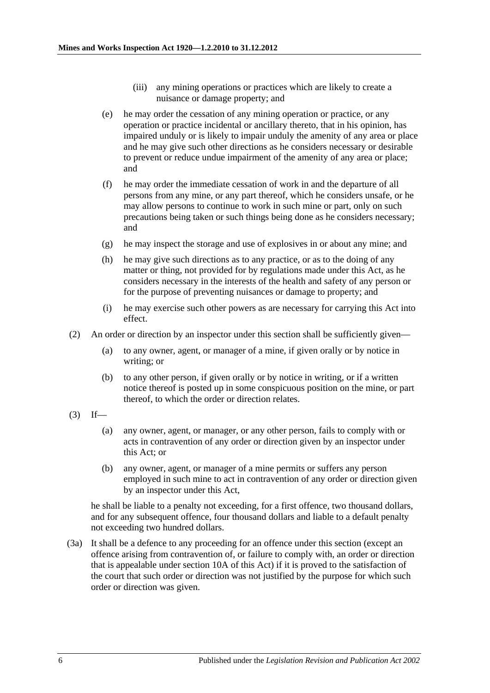- (iii) any mining operations or practices which are likely to create a nuisance or damage property; and
- <span id="page-5-1"></span>(e) he may order the cessation of any mining operation or practice, or any operation or practice incidental or ancillary thereto, that in his opinion, has impaired unduly or is likely to impair unduly the amenity of any area or place and he may give such other directions as he considers necessary or desirable to prevent or reduce undue impairment of the amenity of any area or place; and
- (f) he may order the immediate cessation of work in and the departure of all persons from any mine, or any part thereof, which he considers unsafe, or he may allow persons to continue to work in such mine or part, only on such precautions being taken or such things being done as he considers necessary; and
- (g) he may inspect the storage and use of explosives in or about any mine; and
- (h) he may give such directions as to any practice, or as to the doing of any matter or thing, not provided for by regulations made under this Act, as he considers necessary in the interests of the health and safety of any person or for the purpose of preventing nuisances or damage to property; and
- (i) he may exercise such other powers as are necessary for carrying this Act into effect.
- (2) An order or direction by an inspector under this section shall be sufficiently given—
	- (a) to any owner, agent, or manager of a mine, if given orally or by notice in writing; or
	- (b) to any other person, if given orally or by notice in writing, or if a written notice thereof is posted up in some conspicuous position on the mine, or part thereof, to which the order or direction relates.
- <span id="page-5-0"></span> $(3)$  If—
	- (a) any owner, agent, or manager, or any other person, fails to comply with or acts in contravention of any order or direction given by an inspector under this Act; or
	- (b) any owner, agent, or manager of a mine permits or suffers any person employed in such mine to act in contravention of any order or direction given by an inspector under this Act,

he shall be liable to a penalty not exceeding, for a first offence, two thousand dollars, and for any subsequent offence, four thousand dollars and liable to a default penalty not exceeding two hundred dollars.

(3a) It shall be a defence to any proceeding for an offence under this section (except an offence arising from contravention of, or failure to comply with, an order or direction that is appealable under [section](#page-6-0) 10A of this Act) if it is proved to the satisfaction of the court that such order or direction was not justified by the purpose for which such order or direction was given.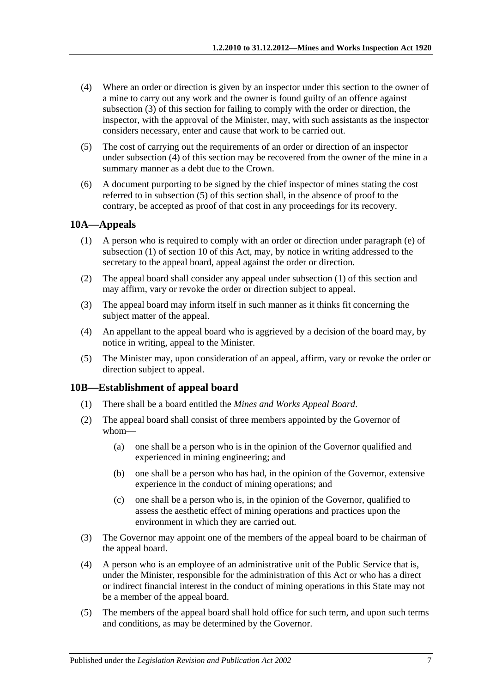- <span id="page-6-2"></span>(4) Where an order or direction is given by an inspector under this section to the owner of a mine to carry out any work and the owner is found guilty of an offence against [subsection](#page-5-0) (3) of this section for failing to comply with the order or direction, the inspector, with the approval of the Minister, may, with such assistants as the inspector considers necessary, enter and cause that work to be carried out.
- <span id="page-6-3"></span>(5) The cost of carrying out the requirements of an order or direction of an inspector under [subsection](#page-6-2) (4) of this section may be recovered from the owner of the mine in a summary manner as a debt due to the Crown.
- (6) A document purporting to be signed by the chief inspector of mines stating the cost referred to in [subsection](#page-6-3) (5) of this section shall, in the absence of proof to the contrary, be accepted as proof of that cost in any proceedings for its recovery.

## <span id="page-6-4"></span><span id="page-6-0"></span>**10A—Appeals**

- (1) A person who is required to comply with an order or direction under [paragraph](#page-5-1) (e) of [subsection](#page-4-2) (1) of [section](#page-4-1) 10 of this Act, may, by notice in writing addressed to the secretary to the appeal board, appeal against the order or direction.
- (2) The appeal board shall consider any appeal under [subsection](#page-6-4) (1) of this section and may affirm, vary or revoke the order or direction subject to appeal.
- (3) The appeal board may inform itself in such manner as it thinks fit concerning the subject matter of the appeal.
- (4) An appellant to the appeal board who is aggrieved by a decision of the board may, by notice in writing, appeal to the Minister.
- (5) The Minister may, upon consideration of an appeal, affirm, vary or revoke the order or direction subject to appeal.

## <span id="page-6-1"></span>**10B—Establishment of appeal board**

- (1) There shall be a board entitled the *Mines and Works Appeal Board*.
- (2) The appeal board shall consist of three members appointed by the Governor of whom—
	- (a) one shall be a person who is in the opinion of the Governor qualified and experienced in mining engineering; and
	- (b) one shall be a person who has had, in the opinion of the Governor, extensive experience in the conduct of mining operations; and
	- (c) one shall be a person who is, in the opinion of the Governor, qualified to assess the aesthetic effect of mining operations and practices upon the environment in which they are carried out.
- (3) The Governor may appoint one of the members of the appeal board to be chairman of the appeal board.
- <span id="page-6-5"></span>(4) A person who is an employee of an administrative unit of the Public Service that is, under the Minister, responsible for the administration of this Act or who has a direct or indirect financial interest in the conduct of mining operations in this State may not be a member of the appeal board.
- (5) The members of the appeal board shall hold office for such term, and upon such terms and conditions, as may be determined by the Governor.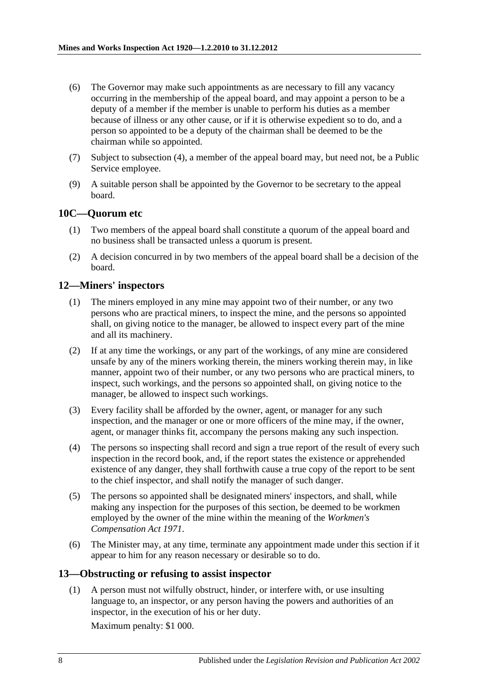- (6) The Governor may make such appointments as are necessary to fill any vacancy occurring in the membership of the appeal board, and may appoint a person to be a deputy of a member if the member is unable to perform his duties as a member because of illness or any other cause, or if it is otherwise expedient so to do, and a person so appointed to be a deputy of the chairman shall be deemed to be the chairman while so appointed.
- (7) Subject to [subsection](#page-6-5) (4), a member of the appeal board may, but need not, be a Public Service employee.
- (9) A suitable person shall be appointed by the Governor to be secretary to the appeal board.

## <span id="page-7-0"></span>**10C—Quorum etc**

- (1) Two members of the appeal board shall constitute a quorum of the appeal board and no business shall be transacted unless a quorum is present.
- (2) A decision concurred in by two members of the appeal board shall be a decision of the board.

## <span id="page-7-1"></span>**12—Miners' inspectors**

- (1) The miners employed in any mine may appoint two of their number, or any two persons who are practical miners, to inspect the mine, and the persons so appointed shall, on giving notice to the manager, be allowed to inspect every part of the mine and all its machinery.
- (2) If at any time the workings, or any part of the workings, of any mine are considered unsafe by any of the miners working therein, the miners working therein may, in like manner, appoint two of their number, or any two persons who are practical miners, to inspect, such workings, and the persons so appointed shall, on giving notice to the manager, be allowed to inspect such workings.
- (3) Every facility shall be afforded by the owner, agent, or manager for any such inspection, and the manager or one or more officers of the mine may, if the owner, agent, or manager thinks fit, accompany the persons making any such inspection.
- (4) The persons so inspecting shall record and sign a true report of the result of every such inspection in the record book, and, if the report states the existence or apprehended existence of any danger, they shall forthwith cause a true copy of the report to be sent to the chief inspector, and shall notify the manager of such danger.
- (5) The persons so appointed shall be designated miners' inspectors, and shall, while making any inspection for the purposes of this section, be deemed to be workmen employed by the owner of the mine within the meaning of the *[Workmen's](http://www.legislation.sa.gov.au/index.aspx?action=legref&type=act&legtitle=Workmens%20Compensation%20Act%201971)  [Compensation Act](http://www.legislation.sa.gov.au/index.aspx?action=legref&type=act&legtitle=Workmens%20Compensation%20Act%201971) 1971*.
- (6) The Minister may, at any time, terminate any appointment made under this section if it appear to him for any reason necessary or desirable so to do.

## <span id="page-7-2"></span>**13—Obstructing or refusing to assist inspector**

(1) A person must not wilfully obstruct, hinder, or interfere with, or use insulting language to, an inspector, or any person having the powers and authorities of an inspector, in the execution of his or her duty.

Maximum penalty: \$1 000.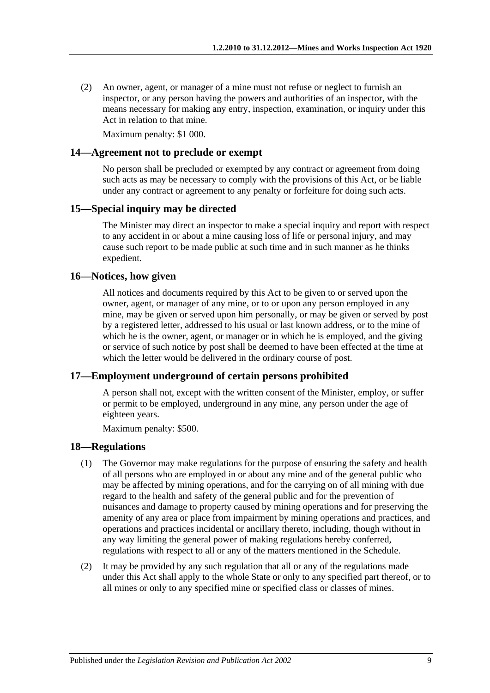(2) An owner, agent, or manager of a mine must not refuse or neglect to furnish an inspector, or any person having the powers and authorities of an inspector, with the means necessary for making any entry, inspection, examination, or inquiry under this Act in relation to that mine.

Maximum penalty: \$1 000.

#### <span id="page-8-0"></span>**14—Agreement not to preclude or exempt**

No person shall be precluded or exempted by any contract or agreement from doing such acts as may be necessary to comply with the provisions of this Act, or be liable under any contract or agreement to any penalty or forfeiture for doing such acts.

#### <span id="page-8-1"></span>**15—Special inquiry may be directed**

The Minister may direct an inspector to make a special inquiry and report with respect to any accident in or about a mine causing loss of life or personal injury, and may cause such report to be made public at such time and in such manner as he thinks expedient.

#### <span id="page-8-2"></span>**16—Notices, how given**

All notices and documents required by this Act to be given to or served upon the owner, agent, or manager of any mine, or to or upon any person employed in any mine, may be given or served upon him personally, or may be given or served by post by a registered letter, addressed to his usual or last known address, or to the mine of which he is the owner, agent, or manager or in which he is employed, and the giving or service of such notice by post shall be deemed to have been effected at the time at which the letter would be delivered in the ordinary course of post.

#### <span id="page-8-3"></span>**17—Employment underground of certain persons prohibited**

A person shall not, except with the written consent of the Minister, employ, or suffer or permit to be employed, underground in any mine, any person under the age of eighteen years.

Maximum penalty: \$500.

#### <span id="page-8-4"></span>**18—Regulations**

- (1) The Governor may make regulations for the purpose of ensuring the safety and health of all persons who are employed in or about any mine and of the general public who may be affected by mining operations, and for the carrying on of all mining with due regard to the health and safety of the general public and for the prevention of nuisances and damage to property caused by mining operations and for preserving the amenity of any area or place from impairment by mining operations and practices, and operations and practices incidental or ancillary thereto, including, though without in any way limiting the general power of making regulations hereby conferred, regulations with respect to all or any of the matters mentioned in the [Schedule.](#page-11-1)
- (2) It may be provided by any such regulation that all or any of the regulations made under this Act shall apply to the whole State or only to any specified part thereof, or to all mines or only to any specified mine or specified class or classes of mines.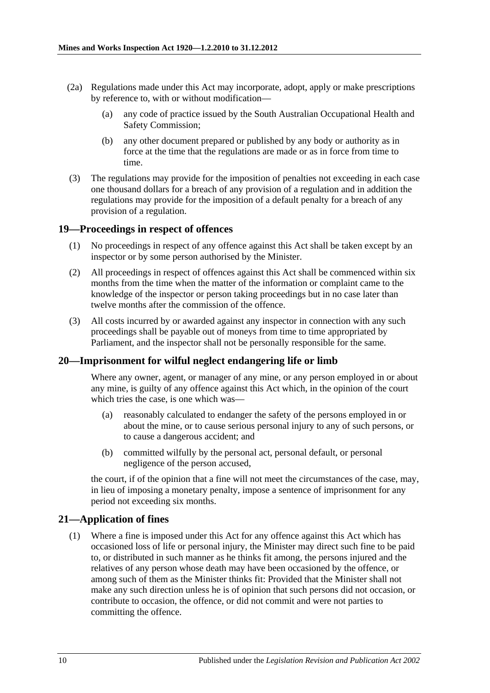- (2a) Regulations made under this Act may incorporate, adopt, apply or make prescriptions by reference to, with or without modification—
	- (a) any code of practice issued by the South Australian Occupational Health and Safety Commission;
	- (b) any other document prepared or published by any body or authority as in force at the time that the regulations are made or as in force from time to time.
- (3) The regulations may provide for the imposition of penalties not exceeding in each case one thousand dollars for a breach of any provision of a regulation and in addition the regulations may provide for the imposition of a default penalty for a breach of any provision of a regulation.

#### <span id="page-9-0"></span>**19—Proceedings in respect of offences**

- (1) No proceedings in respect of any offence against this Act shall be taken except by an inspector or by some person authorised by the Minister.
- (2) All proceedings in respect of offences against this Act shall be commenced within six months from the time when the matter of the information or complaint came to the knowledge of the inspector or person taking proceedings but in no case later than twelve months after the commission of the offence.
- (3) All costs incurred by or awarded against any inspector in connection with any such proceedings shall be payable out of moneys from time to time appropriated by Parliament, and the inspector shall not be personally responsible for the same.

#### <span id="page-9-1"></span>**20—Imprisonment for wilful neglect endangering life or limb**

Where any owner, agent, or manager of any mine, or any person employed in or about any mine, is guilty of any offence against this Act which, in the opinion of the court which tries the case, is one which was—

- (a) reasonably calculated to endanger the safety of the persons employed in or about the mine, or to cause serious personal injury to any of such persons, or to cause a dangerous accident; and
- (b) committed wilfully by the personal act, personal default, or personal negligence of the person accused,

the court, if of the opinion that a fine will not meet the circumstances of the case, may, in lieu of imposing a monetary penalty, impose a sentence of imprisonment for any period not exceeding six months.

#### <span id="page-9-2"></span>**21—Application of fines**

(1) Where a fine is imposed under this Act for any offence against this Act which has occasioned loss of life or personal injury, the Minister may direct such fine to be paid to, or distributed in such manner as he thinks fit among, the persons injured and the relatives of any person whose death may have been occasioned by the offence, or among such of them as the Minister thinks fit: Provided that the Minister shall not make any such direction unless he is of opinion that such persons did not occasion, or contribute to occasion, the offence, or did not commit and were not parties to committing the offence.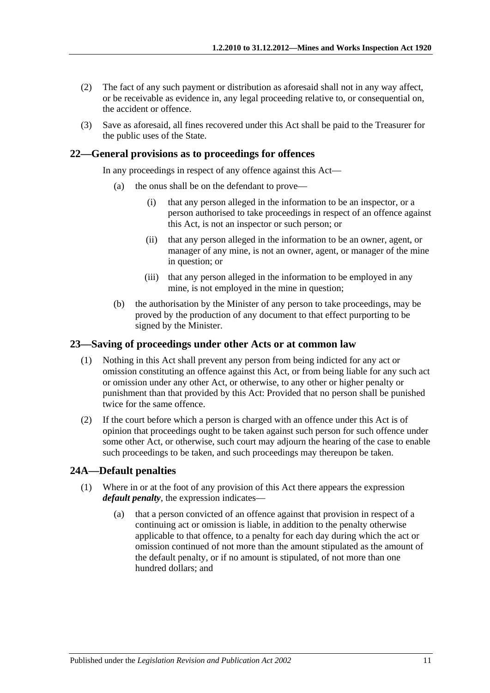- (2) The fact of any such payment or distribution as aforesaid shall not in any way affect, or be receivable as evidence in, any legal proceeding relative to, or consequential on, the accident or offence.
- (3) Save as aforesaid, all fines recovered under this Act shall be paid to the Treasurer for the public uses of the State.

#### <span id="page-10-0"></span>**22—General provisions as to proceedings for offences**

In any proceedings in respect of any offence against this Act—

- (a) the onus shall be on the defendant to prove—
	- (i) that any person alleged in the information to be an inspector, or a person authorised to take proceedings in respect of an offence against this Act, is not an inspector or such person; or
	- (ii) that any person alleged in the information to be an owner, agent, or manager of any mine, is not an owner, agent, or manager of the mine in question; or
	- (iii) that any person alleged in the information to be employed in any mine, is not employed in the mine in question;
- (b) the authorisation by the Minister of any person to take proceedings, may be proved by the production of any document to that effect purporting to be signed by the Minister.

#### <span id="page-10-1"></span>**23—Saving of proceedings under other Acts or at common law**

- (1) Nothing in this Act shall prevent any person from being indicted for any act or omission constituting an offence against this Act, or from being liable for any such act or omission under any other Act, or otherwise, to any other or higher penalty or punishment than that provided by this Act: Provided that no person shall be punished twice for the same offence.
- (2) If the court before which a person is charged with an offence under this Act is of opinion that proceedings ought to be taken against such person for such offence under some other Act, or otherwise, such court may adjourn the hearing of the case to enable such proceedings to be taken, and such proceedings may thereupon be taken.

#### <span id="page-10-3"></span><span id="page-10-2"></span>**24A—Default penalties**

- (1) Where in or at the foot of any provision of this Act there appears the expression *default penalty*, the expression indicates—
	- (a) that a person convicted of an offence against that provision in respect of a continuing act or omission is liable, in addition to the penalty otherwise applicable to that offence, to a penalty for each day during which the act or omission continued of not more than the amount stipulated as the amount of the default penalty, or if no amount is stipulated, of not more than one hundred dollars; and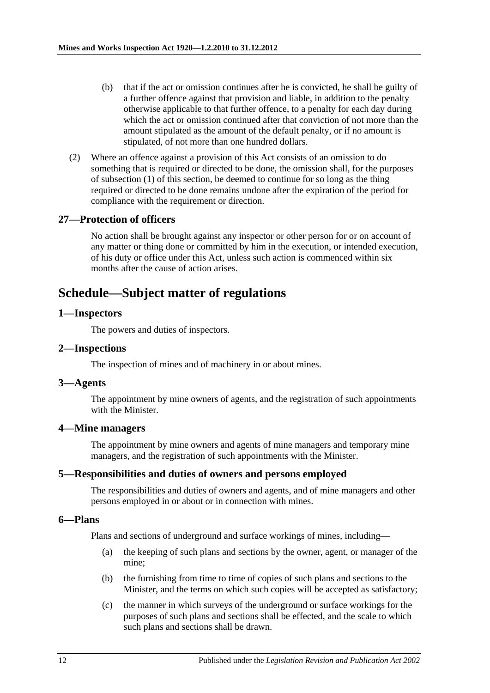- (b) that if the act or omission continues after he is convicted, he shall be guilty of a further offence against that provision and liable, in addition to the penalty otherwise applicable to that further offence, to a penalty for each day during which the act or omission continued after that conviction of not more than the amount stipulated as the amount of the default penalty, or if no amount is stipulated, of not more than one hundred dollars.
- (2) Where an offence against a provision of this Act consists of an omission to do something that is required or directed to be done, the omission shall, for the purposes of [subsection](#page-10-3) (1) of this section, be deemed to continue for so long as the thing required or directed to be done remains undone after the expiration of the period for compliance with the requirement or direction.

### <span id="page-11-0"></span>**27—Protection of officers**

No action shall be brought against any inspector or other person for or on account of any matter or thing done or committed by him in the execution, or intended execution, of his duty or office under this Act, unless such action is commenced within six months after the cause of action arises.

## <span id="page-11-1"></span>**Schedule—Subject matter of regulations**

#### <span id="page-11-2"></span>**1—Inspectors**

The powers and duties of inspectors.

#### <span id="page-11-3"></span>**2—Inspections**

The inspection of mines and of machinery in or about mines.

#### <span id="page-11-4"></span>**3—Agents**

The appointment by mine owners of agents, and the registration of such appointments with the Minister.

### <span id="page-11-5"></span>**4—Mine managers**

The appointment by mine owners and agents of mine managers and temporary mine managers, and the registration of such appointments with the Minister.

#### <span id="page-11-6"></span>**5—Responsibilities and duties of owners and persons employed**

The responsibilities and duties of owners and agents, and of mine managers and other persons employed in or about or in connection with mines.

#### <span id="page-11-7"></span>**6—Plans**

Plans and sections of underground and surface workings of mines, including—

- (a) the keeping of such plans and sections by the owner, agent, or manager of the mine;
- (b) the furnishing from time to time of copies of such plans and sections to the Minister, and the terms on which such copies will be accepted as satisfactory;
- (c) the manner in which surveys of the underground or surface workings for the purposes of such plans and sections shall be effected, and the scale to which such plans and sections shall be drawn.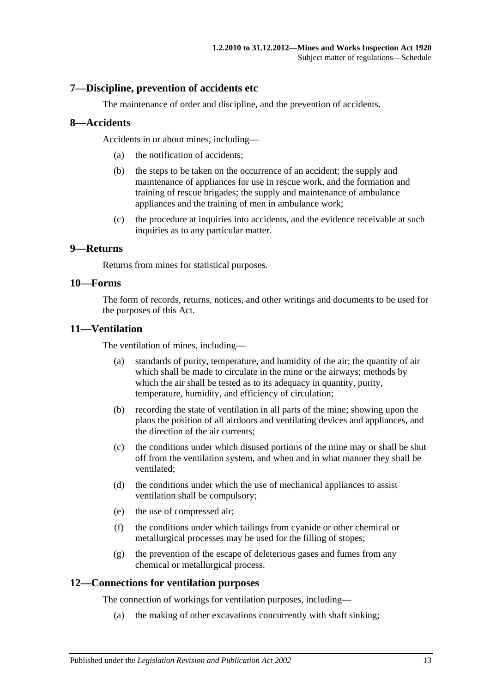## <span id="page-12-0"></span>**7—Discipline, prevention of accidents etc**

The maintenance of order and discipline, and the prevention of accidents.

## <span id="page-12-1"></span>**8—Accidents**

Accidents in or about mines, including—

- (a) the notification of accidents;
- (b) the steps to be taken on the occurrence of an accident; the supply and maintenance of appliances for use in rescue work, and the formation and training of rescue brigades; the supply and maintenance of ambulance appliances and the training of men in ambulance work;
- (c) the procedure at inquiries into accidents, and the evidence receivable at such inquiries as to any particular matter.

## <span id="page-12-2"></span>**9—Returns**

Returns from mines for statistical purposes.

#### <span id="page-12-3"></span>**10—Forms**

The form of records, returns, notices, and other writings and documents to be used for the purposes of this Act.

### <span id="page-12-4"></span>**11—Ventilation**

The ventilation of mines, including—

- (a) standards of purity, temperature, and humidity of the air; the quantity of air which shall be made to circulate in the mine or the airways; methods by which the air shall be tested as to its adequacy in quantity, purity, temperature, humidity, and efficiency of circulation;
- (b) recording the state of ventilation in all parts of the mine; showing upon the plans the position of all airdoors and ventilating devices and appliances, and the direction of the air currents;
- (c) the conditions under which disused portions of the mine may or shall be shut off from the ventilation system, and when and in what manner they shall be ventilated;
- (d) the conditions under which the use of mechanical appliances to assist ventilation shall be compulsory;
- (e) the use of compressed air;
- (f) the conditions under which tailings from cyanide or other chemical or metallurgical processes may be used for the filling of stopes;
- (g) the prevention of the escape of deleterious gases and fumes from any chemical or metallurgical process.

## <span id="page-12-5"></span>**12—Connections for ventilation purposes**

The connection of workings for ventilation purposes, including—

(a) the making of other excavations concurrently with shaft sinking;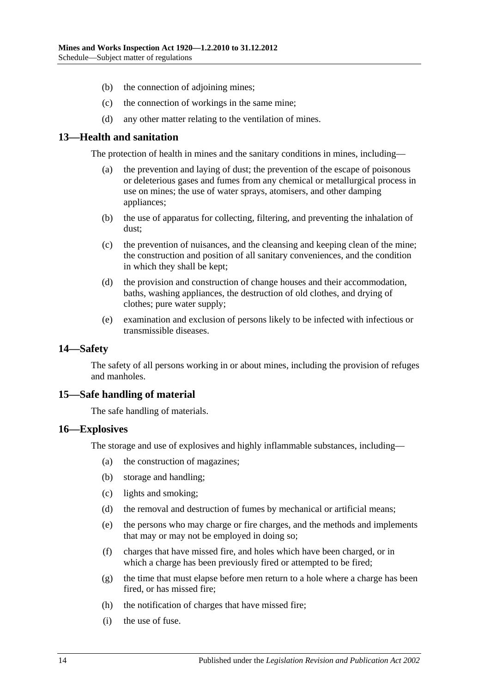- (b) the connection of adjoining mines;
- (c) the connection of workings in the same mine;
- (d) any other matter relating to the ventilation of mines.

## <span id="page-13-0"></span>**13—Health and sanitation**

The protection of health in mines and the sanitary conditions in mines, including—

- (a) the prevention and laying of dust; the prevention of the escape of poisonous or deleterious gases and fumes from any chemical or metallurgical process in use on mines; the use of water sprays, atomisers, and other damping appliances;
- (b) the use of apparatus for collecting, filtering, and preventing the inhalation of dust;
- (c) the prevention of nuisances, and the cleansing and keeping clean of the mine; the construction and position of all sanitary conveniences, and the condition in which they shall be kept;
- (d) the provision and construction of change houses and their accommodation, baths, washing appliances, the destruction of old clothes, and drying of clothes; pure water supply;
- (e) examination and exclusion of persons likely to be infected with infectious or transmissible diseases.

#### <span id="page-13-1"></span>**14—Safety**

The safety of all persons working in or about mines, including the provision of refuges and manholes.

#### <span id="page-13-2"></span>**15—Safe handling of material**

The safe handling of materials.

#### <span id="page-13-3"></span>**16—Explosives**

The storage and use of explosives and highly inflammable substances, including—

- (a) the construction of magazines;
- (b) storage and handling;
- (c) lights and smoking;
- (d) the removal and destruction of fumes by mechanical or artificial means;
- (e) the persons who may charge or fire charges, and the methods and implements that may or may not be employed in doing so;
- (f) charges that have missed fire, and holes which have been charged, or in which a charge has been previously fired or attempted to be fired;
- (g) the time that must elapse before men return to a hole where a charge has been fired, or has missed fire;
- (h) the notification of charges that have missed fire;
- (i) the use of fuse.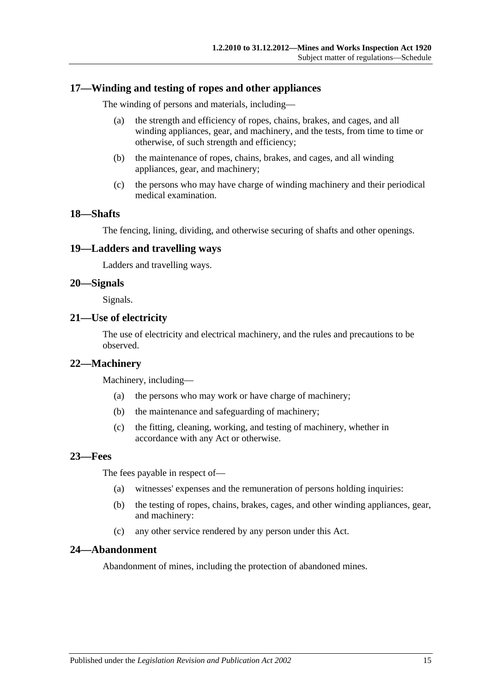### <span id="page-14-0"></span>**17—Winding and testing of ropes and other appliances**

The winding of persons and materials, including—

- (a) the strength and efficiency of ropes, chains, brakes, and cages, and all winding appliances, gear, and machinery, and the tests, from time to time or otherwise, of such strength and efficiency;
- (b) the maintenance of ropes, chains, brakes, and cages, and all winding appliances, gear, and machinery;
- (c) the persons who may have charge of winding machinery and their periodical medical examination.

## <span id="page-14-1"></span>**18—Shafts**

The fencing, lining, dividing, and otherwise securing of shafts and other openings.

#### <span id="page-14-2"></span>**19—Ladders and travelling ways**

Ladders and travelling ways.

### <span id="page-14-3"></span>**20—Signals**

Signals.

#### <span id="page-14-4"></span>**21—Use of electricity**

The use of electricity and electrical machinery, and the rules and precautions to be observed.

#### <span id="page-14-5"></span>**22—Machinery**

Machinery, including—

- (a) the persons who may work or have charge of machinery;
- (b) the maintenance and safeguarding of machinery;
- (c) the fitting, cleaning, working, and testing of machinery, whether in accordance with any Act or otherwise.

#### <span id="page-14-6"></span>**23—Fees**

The fees payable in respect of—

- (a) witnesses' expenses and the remuneration of persons holding inquiries:
- (b) the testing of ropes, chains, brakes, cages, and other winding appliances, gear, and machinery:
- (c) any other service rendered by any person under this Act.

#### <span id="page-14-7"></span>**24—Abandonment**

Abandonment of mines, including the protection of abandoned mines.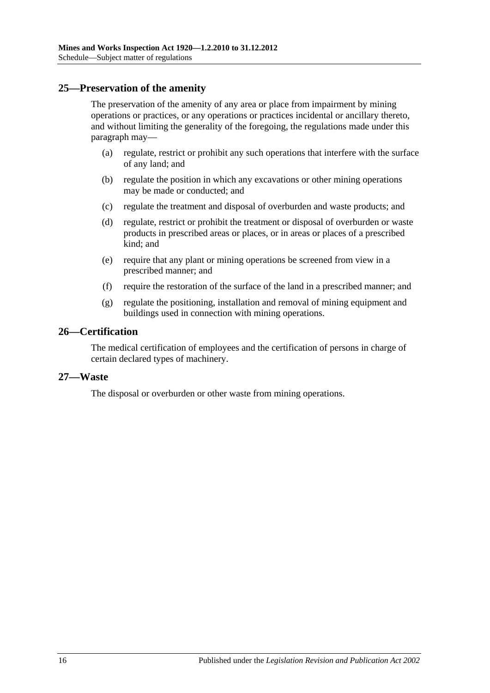### <span id="page-15-0"></span>**25—Preservation of the amenity**

The preservation of the amenity of any area or place from impairment by mining operations or practices, or any operations or practices incidental or ancillary thereto, and without limiting the generality of the foregoing, the regulations made under this paragraph may—

- (a) regulate, restrict or prohibit any such operations that interfere with the surface of any land; and
- (b) regulate the position in which any excavations or other mining operations may be made or conducted; and
- (c) regulate the treatment and disposal of overburden and waste products; and
- (d) regulate, restrict or prohibit the treatment or disposal of overburden or waste products in prescribed areas or places, or in areas or places of a prescribed kind; and
- (e) require that any plant or mining operations be screened from view in a prescribed manner; and
- (f) require the restoration of the surface of the land in a prescribed manner; and
- (g) regulate the positioning, installation and removal of mining equipment and buildings used in connection with mining operations.

### <span id="page-15-1"></span>**26—Certification**

The medical certification of employees and the certification of persons in charge of certain declared types of machinery.

#### <span id="page-15-2"></span>**27—Waste**

The disposal or overburden or other waste from mining operations.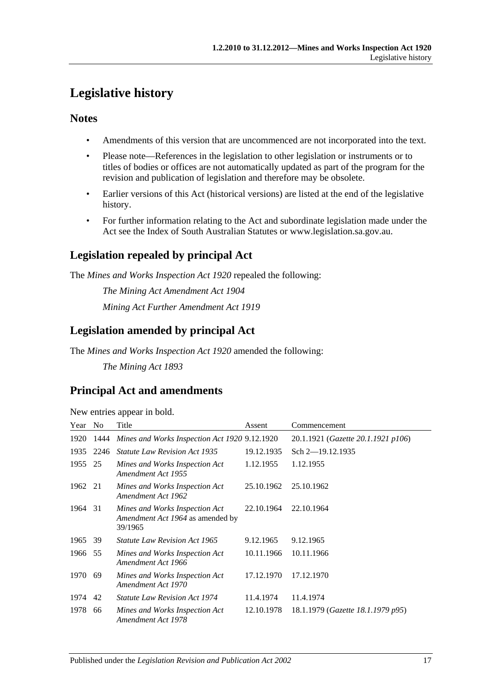## <span id="page-16-0"></span>**Legislative history**

## **Notes**

- Amendments of this version that are uncommenced are not incorporated into the text.
- Please note—References in the legislation to other legislation or instruments or to titles of bodies or offices are not automatically updated as part of the program for the revision and publication of legislation and therefore may be obsolete.
- Earlier versions of this Act (historical versions) are listed at the end of the legislative history.
- For further information relating to the Act and subordinate legislation made under the Act see the Index of South Australian Statutes or www.legislation.sa.gov.au.

## **Legislation repealed by principal Act**

The *Mines and Works Inspection Act 1920* repealed the following:

*The Mining Act Amendment Act 1904 Mining Act Further Amendment Act 1919*

## **Legislation amended by principal Act**

The *Mines and Works Inspection Act 1920* amended the following:

*The Mining Act 1893*

## **Principal Act and amendments**

New entries appear in bold.

| Year    | N <sub>0</sub> | Title                                                                         | Assent     | Commencement                       |
|---------|----------------|-------------------------------------------------------------------------------|------------|------------------------------------|
| 1920    | 1444           | Mines and Works Inspection Act 1920 9.12.1920                                 |            | 20.1.1921 (Gazette 20.1.1921 p106) |
| 1935    | 2246           | <i>Statute Law Revision Act 1935</i>                                          | 19.12.1935 | Sch 2-19.12.1935                   |
| 1955    | 25             | Mines and Works Inspection Act<br>Amendment Act 1955                          | 1.12.1955  | 1.12.1955                          |
| 1962    | 21             | Mines and Works Inspection Act<br>Amendment Act 1962                          | 25.10.1962 | 25.10.1962                         |
| 1964    | 31             | Mines and Works Inspection Act<br>Amendment Act 1964 as amended by<br>39/1965 | 22.10.1964 | 22.10.1964                         |
| 1965    | 39             | <i>Statute Law Revision Act 1965</i>                                          | 9.12.1965  | 9.12.1965                          |
| 1966 55 |                | Mines and Works Inspection Act<br>Amendment Act 1966                          | 10.11.1966 | 10.11.1966                         |
| 1970    | 69             | Mines and Works Inspection Act<br>Amendment Act 1970                          | 17.12.1970 | 17.12.1970                         |
| 1974    | 42             | <i>Statute Law Revision Act 1974</i>                                          | 11.4.1974  | 11.4.1974                          |
| 1978    | 66             | Mines and Works Inspection Act<br>Amendment Act 1978                          | 12.10.1978 | 18.1.1979 (Gazette 18.1.1979 p95)  |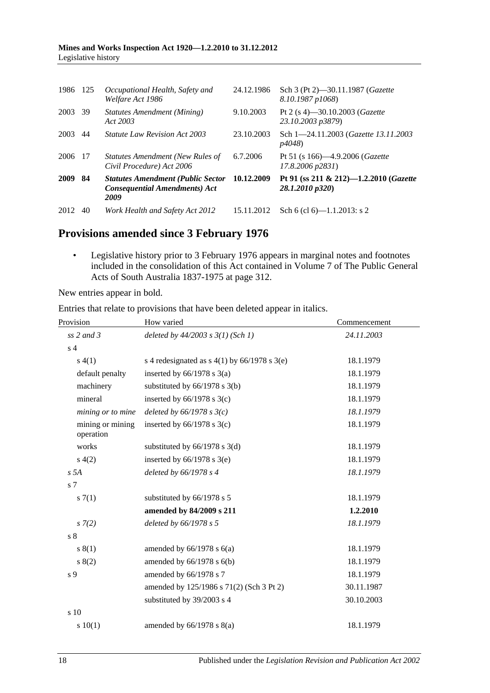| 1986 125 |      | Occupational Health, Safety and<br>Welfare Act 1986                                      | 24.12.1986 | Sch 3 (Pt 2)–30.11.1987 ( <i>Gazette</i><br>8.10.1987 p1068) |
|----------|------|------------------------------------------------------------------------------------------|------------|--------------------------------------------------------------|
| 2003     | 39   | <b>Statutes Amendment (Mining)</b><br>Act 2003                                           | 9.10.2003  | Pt 2 (s 4)–30.10.2003 ( <i>Gazette</i><br>23.10.2003 p3879)  |
| 2003     | 44   | <i>Statute Law Revision Act 2003</i>                                                     | 23.10.2003 | Sch 1-24.11.2003 (Gazette 13.11.2003)<br><i>p4048</i> )      |
| 2006     | - 17 | Statutes Amendment (New Rules of<br>Civil Procedure) Act 2006                            | 6.7.2006   | Pt 51 (s 166)-4.9.2006 (Gazette<br>$17.8,2006 \text{ p}2831$ |
| 2009     | -84  | <b>Statutes Amendment (Public Sector</b><br><b>Consequential Amendments) Act</b><br>2009 | 10.12.2009 | Pt 91 (ss 211 & 212)-1.2.2010 (Gazette<br>28.1.2010 p320)    |
| 2012     | 40   | Work Health and Safety Act 2012                                                          | 15.11.2012 | Sch 6 (cl 6)— $1.1.2013$ : s 2                               |

## **Provisions amended since 3 February 1976**

• Legislative history prior to 3 February 1976 appears in marginal notes and footnotes included in the consolidation of this Act contained in Volume 7 of The Public General Acts of South Australia 1837-1975 at page 312.

New entries appear in bold.

Entries that relate to provisions that have been deleted appear in italics.

| Provision                     | How varied                                     | Commencement |  |
|-------------------------------|------------------------------------------------|--------------|--|
| ss $2$ and $3$                | deleted by $44/2003$ s $3(1)$ (Sch 1)          | 24.11.2003   |  |
| s <sub>4</sub>                |                                                |              |  |
| s(4(1))                       | s 4 redesignated as $s$ 4(1) by 66/1978 s 3(e) | 18.1.1979    |  |
| default penalty               | inserted by $66/1978$ s $3(a)$                 | 18.1.1979    |  |
| machinery                     | substituted by $66/1978$ s $3(b)$              | 18.1.1979    |  |
| mineral                       | inserted by $66/1978$ s $3(c)$                 | 18.1.1979    |  |
| mining or to mine             | deleted by $66/1978$ s $3(c)$                  | 18.1.1979    |  |
| mining or mining<br>operation | inserted by $66/1978$ s $3(c)$                 | 18.1.1979    |  |
| works                         | substituted by $66/1978$ s $3(d)$              | 18.1.1979    |  |
| s(4(2)                        | inserted by $66/1978$ s $3(e)$                 | 18.1.1979    |  |
| s 5A                          | deleted by 66/1978 s 4                         | 18.1.1979    |  |
| s 7                           |                                                |              |  |
| s(7(1))                       | substituted by 66/1978 s 5                     | 18.1.1979    |  |
|                               | amended by 84/2009 s 211                       | 1.2.2010     |  |
| $s \, 7(2)$                   | deleted by 66/1978 s 5                         | 18.1.1979    |  |
| $\sqrt{s}$ 8                  |                                                |              |  |
| s(1)                          | amended by $66/1978$ s $6(a)$                  | 18.1.1979    |  |
| 8(2)                          | amended by $66/1978$ s $6(b)$                  | 18.1.1979    |  |
| s 9                           | amended by 66/1978 s 7                         | 18.1.1979    |  |
|                               | amended by 125/1986 s 71(2) (Sch 3 Pt 2)       | 30.11.1987   |  |
|                               | substituted by 39/2003 s 4                     | 30.10.2003   |  |
| s 10                          |                                                |              |  |
| 10(1)                         | amended by $66/1978$ s $8(a)$                  | 18.1.1979    |  |